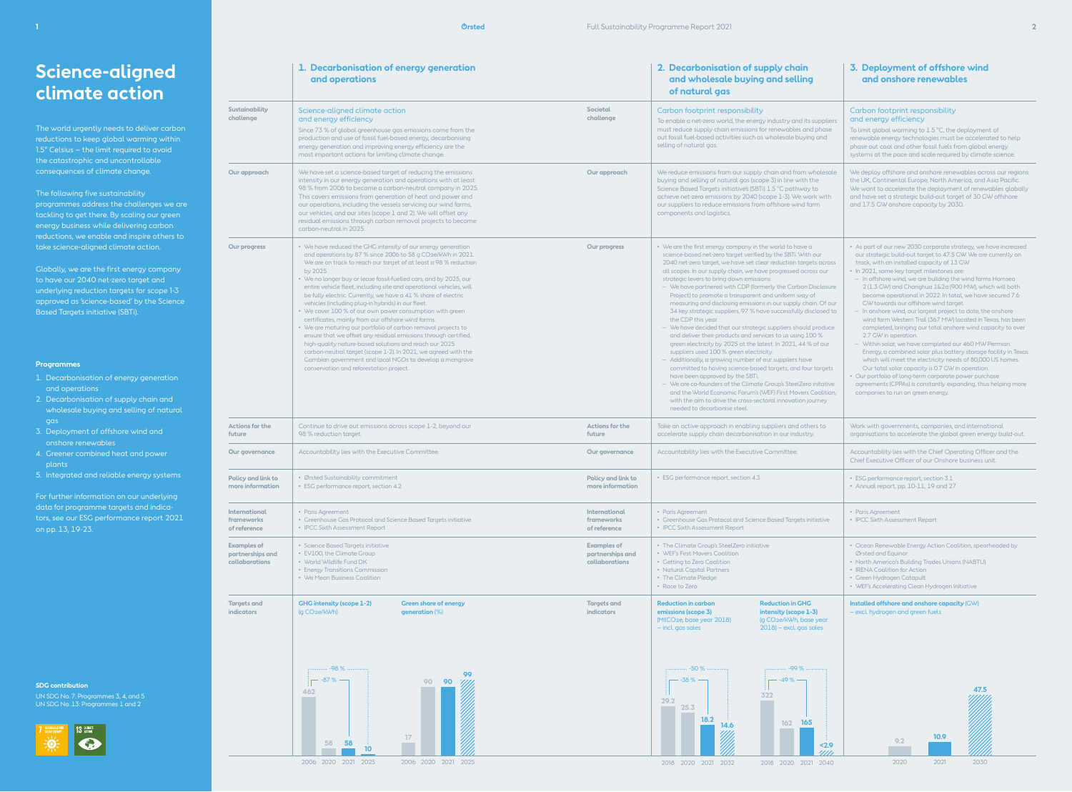# **Science-aligned climate action**

The world urgently needs to deliver carbon reductions to keep global warming within 1.5° Celsius – the limit required to avoid the catastrophic and uncontrollable consequences of climate change.

## The following five sustainability

UN SDG No. 7: Programmes 3, 4, and 5 UN SDG No. 13: Programmes 1 and 2



programmes address the challenges we are tackling to get there. By scaling our green energy business while delivering carbon reductions, we enable and inspire others to take science-aligned climate action.

Globally, we are the first energy company to have our 2040 net-zero target and underlying reduction targets for scope 1-3 approved as 'science-based' by the Science Based Targets initiative (SBTi).



## **Programmes**

- 1. Decarbonisation of energy generation and operations
- 2. Decarbonisation of supply chain and wholesale buying and selling of natural gas
- 3. Deployment of offshore wind and onshore renewables
- 4. Greener combined heat and power plants
- 5. Integrated and reliable energy systems

data for programme targets and indicators, see our ESG performance report 2021 on pp. 13, 19-23.

|                                                          | 1. Decarbonisation of energy generation<br>and operations                                                                                                                                                                                                                                                                                                                                                                                                                                                                                                                                                                                                                                                                                                                                                                                                                                                                                                                            |                                                          | 2. Decarbonisation of supply chain<br>and wholesale buying and selling<br>of natural gas                                                                                                                                                                                                                                                                                                                                                                                                                                                                                                                                                                                                                                                                                                                                                                                                                                                                                                                                                                                                                                                                                                                                               | 3. Deployment of offshore wind<br>and onshore renewables                                                                                                                                                                                                                                                                                                                                                                                                                                                                                                                                                                                                                                                                                                                                                                                                                                                                                                                                                                                                                                    |  |
|----------------------------------------------------------|--------------------------------------------------------------------------------------------------------------------------------------------------------------------------------------------------------------------------------------------------------------------------------------------------------------------------------------------------------------------------------------------------------------------------------------------------------------------------------------------------------------------------------------------------------------------------------------------------------------------------------------------------------------------------------------------------------------------------------------------------------------------------------------------------------------------------------------------------------------------------------------------------------------------------------------------------------------------------------------|----------------------------------------------------------|----------------------------------------------------------------------------------------------------------------------------------------------------------------------------------------------------------------------------------------------------------------------------------------------------------------------------------------------------------------------------------------------------------------------------------------------------------------------------------------------------------------------------------------------------------------------------------------------------------------------------------------------------------------------------------------------------------------------------------------------------------------------------------------------------------------------------------------------------------------------------------------------------------------------------------------------------------------------------------------------------------------------------------------------------------------------------------------------------------------------------------------------------------------------------------------------------------------------------------------|---------------------------------------------------------------------------------------------------------------------------------------------------------------------------------------------------------------------------------------------------------------------------------------------------------------------------------------------------------------------------------------------------------------------------------------------------------------------------------------------------------------------------------------------------------------------------------------------------------------------------------------------------------------------------------------------------------------------------------------------------------------------------------------------------------------------------------------------------------------------------------------------------------------------------------------------------------------------------------------------------------------------------------------------------------------------------------------------|--|
| Sustainability<br>challenge                              | Societal<br>Science-aligned climate action<br>challenge<br>and energy efficiency<br>Since 73 % of global greenhouse gas emissions come from the<br>production and use of fossil fuel-based energy, decarbonising<br>energy generation and improving energy efficiency are the<br>most important actions for limiting climate change.                                                                                                                                                                                                                                                                                                                                                                                                                                                                                                                                                                                                                                                 |                                                          | Carbon footprint responsibility<br>To enable a net-zero world, the energy industry and its suppliers<br>must reduce supply chain emissions for renewables and phase<br>out fossil fuel-based activities such as wholesale buying and<br>selling of natural gas.                                                                                                                                                                                                                                                                                                                                                                                                                                                                                                                                                                                                                                                                                                                                                                                                                                                                                                                                                                        | Carbon footprint responsibility<br>and energy efficiency<br>To limit global warming to 1.5 °C, the deployment of<br>renewable energy technologies must be accelerated to help<br>phase out coal and other fossil fuels from global energy<br>systems at the pace and scale required by climate science.                                                                                                                                                                                                                                                                                                                                                                                                                                                                                                                                                                                                                                                                                                                                                                                     |  |
| Our approach                                             | We have set a science-based target of reducing the emissions<br>intensity in our energy generation and operations with at least<br>98 % from 2006 to become a carbon-neutral company in 2025.<br>This covers emissions from generation of heat and power and<br>our operations, including the vessels servicing our wind farms,<br>our vehicles, and our sites (scope 1 and 2). We will offset any<br>residual emissions through carbon removal projects to become<br>carbon-neutral in 2025.                                                                                                                                                                                                                                                                                                                                                                                                                                                                                        |                                                          | We reduce emissions from our supply chain and from wholesale<br>buying and selling of natural gas (scope 3) in line with the<br>Science Based Targets initiative's (SBTi) 1.5 °C pathway to<br>achieve net-zero emissions by 2040 (scope 1-3). We work with<br>our suppliers to reduce emissions from offshore wind farm<br>components and logistics.                                                                                                                                                                                                                                                                                                                                                                                                                                                                                                                                                                                                                                                                                                                                                                                                                                                                                  | We deploy offshore and onshore renewables across our regions:<br>the UK, Continental Europe, North America, and Asia Pacific.<br>We want to accelerate the deployment of renewables globally<br>and have set a strategic build-out target of 30 GW offshore<br>and 17.5 GW onshore capacity by 2030.                                                                                                                                                                                                                                                                                                                                                                                                                                                                                                                                                                                                                                                                                                                                                                                        |  |
| Our progress                                             | • We have reduced the GHG intensity of our energy generation<br>and operations by 87 % since 2006 to 58 g CO <sub>2e</sub> /kWh in 2021.<br>We are on track to reach our target of at least a 98 % reduction<br>by 2025.<br>• We no longer buy or lease fossil-fuelled cars, and by 2025, our<br>entire vehicle fleet, including site and operational vehicles, will<br>be fully electric. Currently, we have a 41 % share of electric<br>vehicles (including plug-in hybrids) in our fleet.<br>• We cover 100 % of our own power consumption with green<br>certificates, mainly from our offshore wind farms.<br>• We are maturing our portfolio of carbon removal projects to<br>ensure that we offset any residual emissions through certified,<br>high-quality nature-based solutions and reach our 2025<br>carbon-neutral target (scope 1-2). In 2021, we agreed with the<br>Gambian government and local NGOs to develop a mangrove<br>conservation and reforestation project. | Our progress                                             | • We are the first energy company in the world to have a<br>science-based net-zero target verified by the SBTi. With our<br>2040 net-zero target, we have set clear reduction targets across<br>all scopes. In our supply chain, we have progressed across our<br>strategic levers to bring down emissions:<br>- We have partnered with CDP (formerly the Carbon Disclosure<br>Project) to promote a transparent and uniform way of<br>measuring and disclosing emissions in our supply chain. Of our<br>34 key strategic suppliers, 97 % have successfully disclosed to<br>the CDP this year.<br>- We have decided that our strategic suppliers should produce<br>and deliver their products and services to us using 100 %<br>green electricity by 2025 at the latest. In 2021, 44 % of our<br>suppliers used 100 % green electricity.<br>- Additionally, a growing number of our suppliers have<br>committed to having science-based targets, and four targets<br>have been approved by the SBTi.<br>- We are co-founders of the Climate Group's SteelZero initative<br>and the World Economic Forum's (WEF) First Movers Coalition,<br>with the aim to drive the cross-sectoral innovation journey<br>needed to decarbonise steel. | • As part of our new 2030 corporate strategy, we have increased<br>our strategic build-out target to 47.5 GW. We are currently on<br>track, with an installed capacity of 13 GW.<br>· In 2021, some key target milestones are:<br>- In offshore wind, we are building the wind farms Hornsea<br>2 (1.3 GW) and Changhua 1&2a (900 MW), which will both<br>become operational in 2022. In total, we have secured 7.6<br>GW towards our offshore wind target.<br>- In onshore wind, our largest project to date, the onshore<br>wind farm Western Trail (367 MW) located in Texas, has been<br>completed, bringing our total onshore wind capacity to over<br>2.7 GW in operation.<br>- Within solar, we have completed our 460 MW Permian<br>Energy, a combined solar plus battery storage facility in Texas<br>which will meet the electricity needs of 80,000 US homes.<br>Our total solar capacity is 0.7 GW in operation.<br>• Our portfolio of long-term corporate power purchase<br>agreements (CPPAs) is constantly expanding, thus helping more<br>companies to run on green energy. |  |
| Actions for the<br>future                                | Continue to drive out emissions across scope 1-2, beyond our<br>98 % reduction target.                                                                                                                                                                                                                                                                                                                                                                                                                                                                                                                                                                                                                                                                                                                                                                                                                                                                                               | Actions for the<br>future                                | Take an active approach in enabling suppliers and others to<br>accelerate supply chain decarbonisation in our industry.                                                                                                                                                                                                                                                                                                                                                                                                                                                                                                                                                                                                                                                                                                                                                                                                                                                                                                                                                                                                                                                                                                                | Work with governments, companies, and international<br>organisations to accelerate the global green energy build-out.                                                                                                                                                                                                                                                                                                                                                                                                                                                                                                                                                                                                                                                                                                                                                                                                                                                                                                                                                                       |  |
| Our governance                                           | Accountability lies with the Executive Committee.                                                                                                                                                                                                                                                                                                                                                                                                                                                                                                                                                                                                                                                                                                                                                                                                                                                                                                                                    | Our governance                                           | Accountability lies with the Executive Committee.                                                                                                                                                                                                                                                                                                                                                                                                                                                                                                                                                                                                                                                                                                                                                                                                                                                                                                                                                                                                                                                                                                                                                                                      | Accountability lies with the Chief Operating Officer and the<br>Chief Executive Officer of our Onshore business unit.                                                                                                                                                                                                                                                                                                                                                                                                                                                                                                                                                                                                                                                                                                                                                                                                                                                                                                                                                                       |  |
| Policy and link to<br>more information                   | · Ørsted Sustainability commitment<br>• ESG performance report, section 4.2                                                                                                                                                                                                                                                                                                                                                                                                                                                                                                                                                                                                                                                                                                                                                                                                                                                                                                          | Policy and link to<br>more information                   | • ESG performance report, section 4.3                                                                                                                                                                                                                                                                                                                                                                                                                                                                                                                                                                                                                                                                                                                                                                                                                                                                                                                                                                                                                                                                                                                                                                                                  | • ESG performance report, section 3.1<br>• Annual report, pp. 10-11, 19 and 27                                                                                                                                                                                                                                                                                                                                                                                                                                                                                                                                                                                                                                                                                                                                                                                                                                                                                                                                                                                                              |  |
| International<br>frameworks<br>of reference              | International<br>• Paris Agreement<br>• Greenhouse Gas Protocol and Science Based Targets initiative<br>frameworks<br>• IPCC Sixth Assessment Report<br>of reference                                                                                                                                                                                                                                                                                                                                                                                                                                                                                                                                                                                                                                                                                                                                                                                                                 |                                                          | • Paris Agreement<br>• Greenhouse Gas Protocol and Science Based Targets initiative<br>• IPCC Sixth Assessment Report                                                                                                                                                                                                                                                                                                                                                                                                                                                                                                                                                                                                                                                                                                                                                                                                                                                                                                                                                                                                                                                                                                                  | • Paris Agreement<br>• IPCC Sixth Assessment Report                                                                                                                                                                                                                                                                                                                                                                                                                                                                                                                                                                                                                                                                                                                                                                                                                                                                                                                                                                                                                                         |  |
| <b>Examples of</b><br>partnerships and<br>collaborations | • Science Based Targets initiative<br>• EV100, the Climate Group<br>• World Wildlife Fund DK<br>• Energy Transitions Commission<br>• We Mean Business Coalition                                                                                                                                                                                                                                                                                                                                                                                                                                                                                                                                                                                                                                                                                                                                                                                                                      | <b>Examples of</b><br>partnerships and<br>collaborations | • The Climate Group's SteelZero initiative<br>• WEF's First Movers Coalition<br>• Getting to Zero Coalition<br>• Natural Capital Partners<br>• The Climate Pledge<br>• Race to Zero                                                                                                                                                                                                                                                                                                                                                                                                                                                                                                                                                                                                                                                                                                                                                                                                                                                                                                                                                                                                                                                    | • Ocean Renewable Energy Action Coalition, spearheaded by<br>Ørsted and Equinor<br>• North America's Building Trades Unions (NABTU)<br>• IRENA Coalition for Action<br>• Green Hydrogen Catapult<br>• WEF's Accelerating Clean Hydrogen Initiative                                                                                                                                                                                                                                                                                                                                                                                                                                                                                                                                                                                                                                                                                                                                                                                                                                          |  |
| <b>Targets and</b><br><b>indicators</b>                  | <b>GHG intensity (scope 1-2)</b><br><b>Green share of energy</b><br>(g CO <sub>2</sub> e/kWh)<br>generation (%)<br>$-98%$<br>99<br>90<br>90<br>462                                                                                                                                                                                                                                                                                                                                                                                                                                                                                                                                                                                                                                                                                                                                                                                                                                   | <b>Targets and</b><br><b>indicators</b>                  | <b>Reduction in carbon</b><br><b>Reduction in GHG</b><br>emissions (scope 3)<br>intensity (scope 1-3)<br>(MtCO2e, base year 2018)<br>(g CO2e/kWh, base year<br>$2018$ ) – excl. gas sales<br>- incl. gas sales<br>-50 %<br>-99 %<br>$-38%$ $-$<br>$-49%$ –<br>322<br>29.2                                                                                                                                                                                                                                                                                                                                                                                                                                                                                                                                                                                                                                                                                                                                                                                                                                                                                                                                                              | Installed offshore and onshore capacity (GW)<br>- excl. hydrogen and green fuels<br>47.5                                                                                                                                                                                                                                                                                                                                                                                                                                                                                                                                                                                                                                                                                                                                                                                                                                                                                                                                                                                                    |  |
|                                                          | 17<br>58<br>58<br>10 <sup>°</sup><br>2006 2020 2021 2025<br>2006 2020 2021 2025                                                                                                                                                                                                                                                                                                                                                                                                                                                                                                                                                                                                                                                                                                                                                                                                                                                                                                      |                                                          | 25.3<br>18.2<br>162 165<br>14.6<br>2.9<br>'''''<br>2018 2020 2021 2032<br>2018 2020 2021 2040                                                                                                                                                                                                                                                                                                                                                                                                                                                                                                                                                                                                                                                                                                                                                                                                                                                                                                                                                                                                                                                                                                                                          | 10.9<br>9.2<br>2020<br>2021<br>2030                                                                                                                                                                                                                                                                                                                                                                                                                                                                                                                                                                                                                                                                                                                                                                                                                                                                                                                                                                                                                                                         |  |

2006 2020 2021 2025 2006 2020 2021 2025

2018 2020 2021 2040 2018 2020 2021 2032

**1 Ørsted** Full Sustainability Programme Report 2021 **2**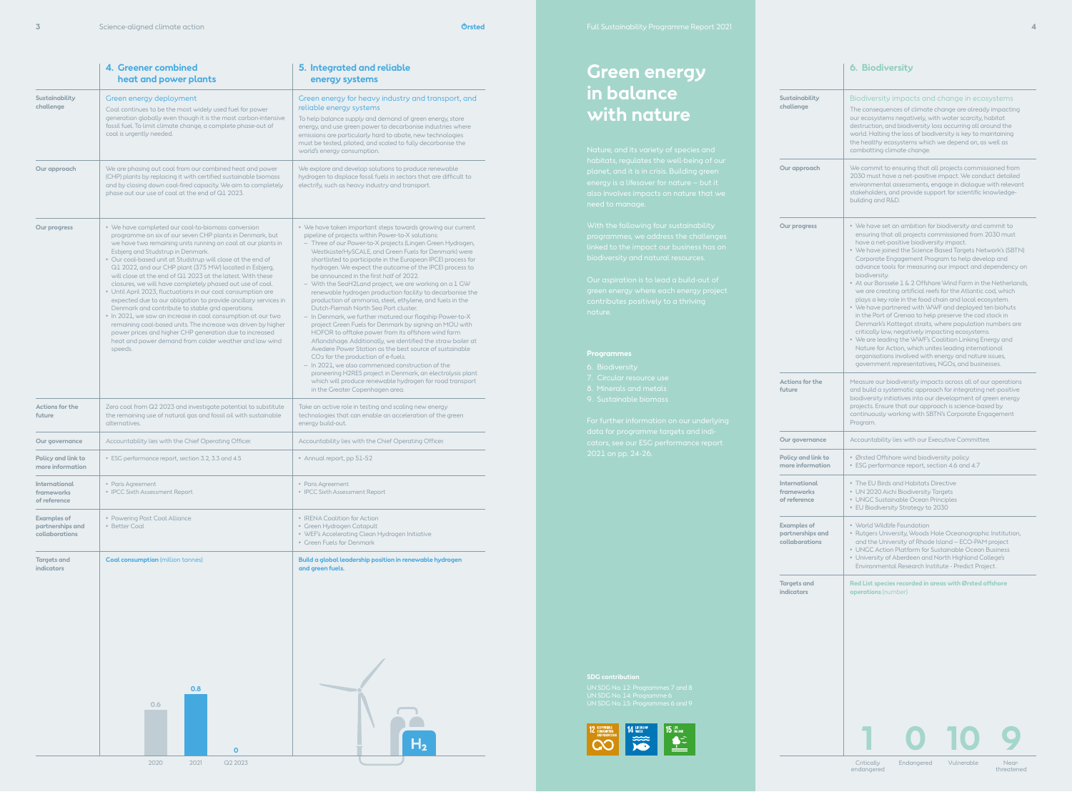

|                                                                                                                                                                                                                                                                                                                                                                                                                                                                                                                                                                                                                                                                                                                                                                                                                                                                                                                                                   | 4. Greener combined<br>heat and power plants                                                                                                                                                                                                        | 5. Integrated and reliable<br>energy systems                                                                                                                                                                                                                                                                                                                                                                                                                                                                                                                                                                                                                                                                                                                                                                                                                                                                                                                                                                                                                                                                                                                                                                                                 |  |  |
|---------------------------------------------------------------------------------------------------------------------------------------------------------------------------------------------------------------------------------------------------------------------------------------------------------------------------------------------------------------------------------------------------------------------------------------------------------------------------------------------------------------------------------------------------------------------------------------------------------------------------------------------------------------------------------------------------------------------------------------------------------------------------------------------------------------------------------------------------------------------------------------------------------------------------------------------------|-----------------------------------------------------------------------------------------------------------------------------------------------------------------------------------------------------------------------------------------------------|----------------------------------------------------------------------------------------------------------------------------------------------------------------------------------------------------------------------------------------------------------------------------------------------------------------------------------------------------------------------------------------------------------------------------------------------------------------------------------------------------------------------------------------------------------------------------------------------------------------------------------------------------------------------------------------------------------------------------------------------------------------------------------------------------------------------------------------------------------------------------------------------------------------------------------------------------------------------------------------------------------------------------------------------------------------------------------------------------------------------------------------------------------------------------------------------------------------------------------------------|--|--|
| Sustainability<br>challenge                                                                                                                                                                                                                                                                                                                                                                                                                                                                                                                                                                                                                                                                                                                                                                                                                                                                                                                       | Green energy deployment<br>Coal continues to be the most widely used fuel for power<br>generation globally even though it is the most carbon-intensive<br>fossil fuel. To limit climate change, a complete phase-out of<br>coal is urgently needed. | Green energy for heavy industry and transport, and<br>reliable energy systems<br>To help balance supply and demand of green energy, store<br>energy, and use green power to decarbonise industries where<br>emissions are particularly hard to abate, new technologies<br>must be tested, piloted, and scaled to fully decarbonise the<br>world's energy consumption.                                                                                                                                                                                                                                                                                                                                                                                                                                                                                                                                                                                                                                                                                                                                                                                                                                                                        |  |  |
| Our approach                                                                                                                                                                                                                                                                                                                                                                                                                                                                                                                                                                                                                                                                                                                                                                                                                                                                                                                                      | We are phasing out coal from our combined heat and power<br>(CHP) plants by replacing it with certified sustainable biomass<br>and by closing down coal-fired capacity. We aim to completely<br>phase out our use of coal at the end of Q1 2023.    | We explore and develop solutions to produce renewable<br>hydrogen to displace fossil fuels in sectors that are difficult to<br>electrify, such as heavy industry and transport.                                                                                                                                                                                                                                                                                                                                                                                                                                                                                                                                                                                                                                                                                                                                                                                                                                                                                                                                                                                                                                                              |  |  |
| • We have completed our coal-to-biomass conversion<br>Our progress<br>programme on six of our seven CHP plants in Denmark, but<br>we have two remaining units running on coal at our plants in<br>Esbjerg and Studstrup in Denmark.<br>• Our coal-based unit at Studstrup will close at the end of<br>Q1 2022, and our CHP plant (375 MW) located in Esbjerg,<br>will close at the end of Q1 2023 at the latest. With these<br>closures, we will have completely phased out use of coal.<br>• Until April 2023, fluctuations in our coal consumption are<br>expected due to our obligation to provide ancillary services in<br>Denmark and contribute to stable grid operations.<br>• In 2021, we saw an increase in coal consumption at our two<br>remaining coal-based units. The increase was driven by higher<br>power prices and higher CHP generation due to increased<br>heat and power demand from colder weather and low wind<br>speeds. |                                                                                                                                                                                                                                                     | • We have taken important steps towards growing our current<br>pipeline of projects within Power-to-X solutions:<br>Three of our Power-to-X projects (Lingen Green Hydrogen,<br>$\overline{\phantom{0}}$<br>Westküste/HySCALE, and Green Fuels for Denmark) were<br>shortlisted to participate in the European IPCEI process for<br>hydrogen. We expect the outcome of the IPCEI process to<br>be announced in the first half of 2022.<br>- With the SeaH2Land project, we are working on a 1 GW<br>renewable hydrogen production facility to decarbonise the<br>production of ammonia, steel, ethylene, and fuels in the<br>Dutch-Flemish North Sea Port cluster.<br>- In Denmark, we further matured our flagship Power-to-X<br>project Green Fuels for Denmark by signing an MOU with<br>HOFOR to offtake power from its offshore wind farm<br>Aflandshage. Additionally, we identified the straw boiler at<br>Avedøre Power Station as the best source of sustainable<br>CO <sub>2</sub> for the production of e-fuels.<br>- In 2021, we also commenced construction of the<br>pioneering H2RES project in Denmark, an electrolysis plant<br>which will produce renewable hydrogen for road transport<br>in the Greater Copenhagen area. |  |  |
| Actions for the<br>future                                                                                                                                                                                                                                                                                                                                                                                                                                                                                                                                                                                                                                                                                                                                                                                                                                                                                                                         | Zero coal from Q2 2023 and investigate potential to substitute<br>the remaining use of natural gas and fossil oil with sustainable<br>alternatives.                                                                                                 | Take an active role in testing and scaling new energy<br>technologies that can enable an acceleration of the green<br>energy build-out.                                                                                                                                                                                                                                                                                                                                                                                                                                                                                                                                                                                                                                                                                                                                                                                                                                                                                                                                                                                                                                                                                                      |  |  |
| Our governance                                                                                                                                                                                                                                                                                                                                                                                                                                                                                                                                                                                                                                                                                                                                                                                                                                                                                                                                    | Accountability lies with the Chief Operating Officer.                                                                                                                                                                                               | Accountability lies with the Chief Operating Officer.                                                                                                                                                                                                                                                                                                                                                                                                                                                                                                                                                                                                                                                                                                                                                                                                                                                                                                                                                                                                                                                                                                                                                                                        |  |  |
| Policy and link to<br>more information                                                                                                                                                                                                                                                                                                                                                                                                                                                                                                                                                                                                                                                                                                                                                                                                                                                                                                            | • ESG performance report, section 3.2, 3.3 and 4.5                                                                                                                                                                                                  | • Annual report, pp 51-52                                                                                                                                                                                                                                                                                                                                                                                                                                                                                                                                                                                                                                                                                                                                                                                                                                                                                                                                                                                                                                                                                                                                                                                                                    |  |  |
| International<br>frameworks<br>of reference                                                                                                                                                                                                                                                                                                                                                                                                                                                                                                                                                                                                                                                                                                                                                                                                                                                                                                       | • Paris Agreement<br>• IPCC Sixth Assessment Report                                                                                                                                                                                                 | • Paris Agreement<br>• IPCC Sixth Assessment Report                                                                                                                                                                                                                                                                                                                                                                                                                                                                                                                                                                                                                                                                                                                                                                                                                                                                                                                                                                                                                                                                                                                                                                                          |  |  |
| <b>Examples of</b><br>partnerships and<br>collaborations                                                                                                                                                                                                                                                                                                                                                                                                                                                                                                                                                                                                                                                                                                                                                                                                                                                                                          | • Powering Past Coal Alliance<br>• Better Coal                                                                                                                                                                                                      | • IRENA Coalition for Action<br>• Green Hydrogen Catapult<br>• WEF's Accelerating Clean Hydrogen Initiative<br>• Green Fuels for Denmark                                                                                                                                                                                                                                                                                                                                                                                                                                                                                                                                                                                                                                                                                                                                                                                                                                                                                                                                                                                                                                                                                                     |  |  |
| <b>Targets and</b><br><b>indicators</b>                                                                                                                                                                                                                                                                                                                                                                                                                                                                                                                                                                                                                                                                                                                                                                                                                                                                                                           | <b>Coal consumption</b> (million tonnes)<br>0.8<br>0.6                                                                                                                                                                                              | Build a global leadership position in renewable hydrogen<br>and green fuels.                                                                                                                                                                                                                                                                                                                                                                                                                                                                                                                                                                                                                                                                                                                                                                                                                                                                                                                                                                                                                                                                                                                                                                 |  |  |

more inform **Internation** framework

|                                                                                                                                       | <b>6. Biodiversity</b>                                                                                                                                                                                                                                                                                                                                                                                                                                                                                                                                                                                                                                                                                                                                                                                                                                                                                                                                                                                                            |  |  |  |  |
|---------------------------------------------------------------------------------------------------------------------------------------|-----------------------------------------------------------------------------------------------------------------------------------------------------------------------------------------------------------------------------------------------------------------------------------------------------------------------------------------------------------------------------------------------------------------------------------------------------------------------------------------------------------------------------------------------------------------------------------------------------------------------------------------------------------------------------------------------------------------------------------------------------------------------------------------------------------------------------------------------------------------------------------------------------------------------------------------------------------------------------------------------------------------------------------|--|--|--|--|
| Sustainability<br>challenge                                                                                                           | Biodiversity impacts and change in ecosystems<br>The consequences of climate change are already impacting<br>our ecosystems negatively, with water scarcity, habitat<br>destruction, and biodiversity loss occurring all around the<br>world. Halting the loss of biodiversity is key to maintaining<br>the healthy ecosystems which we depend on, as well as<br>combatting climate change.                                                                                                                                                                                                                                                                                                                                                                                                                                                                                                                                                                                                                                       |  |  |  |  |
| Our approach                                                                                                                          | We commit to ensuring that all projects commissioned from<br>2030 must have a net-positive impact. We conduct detailed<br>environmental assessments, engage in dialogue with relevant<br>stakeholders, and provide support for scientific knowledge-<br>building and R&D.                                                                                                                                                                                                                                                                                                                                                                                                                                                                                                                                                                                                                                                                                                                                                         |  |  |  |  |
| <b>Our progress</b>                                                                                                                   | • We have set an ambition for biodiversity and commit to<br>ensuring that all projects commissioned from 2030 must<br>have a net-positive biodiversity impact.<br>• We have joined the Science Based Targets Network's (SBTN)<br>Corporate Engagement Program to help develop and<br>advance tools for measuring our impact and dependency on<br>biodiversity.<br>• At our Borssele 1 & 2 Offshore Wind Farm in the Netherlands,<br>we are creating artificial reefs for the Atlantic cod, which<br>plays a key role in the food chain and local ecosystem.<br>• We have partnered with WWF and deployed ten biohuts<br>in the Port of Grenaa to help preserve the cod stock in<br>Denmark's Kattegat straits, where population numbers are<br>critically low, negatively impacting ecosystems.<br>• We are leading the WWF's Coalition Linking Energy and<br>Nature for Action, which unites leading international<br>organisations involved with energy and nature issues,<br>government representatives, NGOs, and businesses. |  |  |  |  |
| <b>Actions for the</b><br>future                                                                                                      | Measure our biodiversity impacts across all of our operations<br>and build a systematic approach for integrating net-positive<br>biodiversity initiatives into our development of green energy<br>projects. Ensure that our approach is science-based by<br>continuously working with SBTN's Corporate Engagement<br>Program.                                                                                                                                                                                                                                                                                                                                                                                                                                                                                                                                                                                                                                                                                                     |  |  |  |  |
| Our governance                                                                                                                        | Accountability lies with our Executive Committee.                                                                                                                                                                                                                                                                                                                                                                                                                                                                                                                                                                                                                                                                                                                                                                                                                                                                                                                                                                                 |  |  |  |  |
| Policy and link to<br>• Ørsted Offshore wind biodiversity policy<br>more information<br>· ESG performance report, section 4.6 and 4.7 |                                                                                                                                                                                                                                                                                                                                                                                                                                                                                                                                                                                                                                                                                                                                                                                                                                                                                                                                                                                                                                   |  |  |  |  |
| <b>International</b><br>frameworks<br>of reference                                                                                    | • The EU Birds and Habitats Directive<br>• UN 2020 Aichi Biodiversity Targets<br>• UNGC Sustainable Ocean Principles<br>• EU Biodiversity Strategy to 2030                                                                                                                                                                                                                                                                                                                                                                                                                                                                                                                                                                                                                                                                                                                                                                                                                                                                        |  |  |  |  |
| <b>Examples of</b><br>partnerships and<br>collaborations                                                                              | • World Wildlife Foundation<br>• Rutgers University, Woods Hole Oceanographic Institution,<br>and the University of Rhode Island - ECO-PAM project<br>• UNGC Action Platform for Sustainable Ocean Business<br>• University of Aberdeen and North Highland College's<br>Environmental Research Institute - Predict Project.                                                                                                                                                                                                                                                                                                                                                                                                                                                                                                                                                                                                                                                                                                       |  |  |  |  |
| Red List species recorded in areas with Ørsted offshore<br><b>Targets and</b><br><b>indicators</b><br>operations (number)             |                                                                                                                                                                                                                                                                                                                                                                                                                                                                                                                                                                                                                                                                                                                                                                                                                                                                                                                                                                                                                                   |  |  |  |  |

2020 2021 Q2 2023

**0**

**Second** 

 $H<sub>2</sub>$ 

# **Green energy in balance with nature**

- 
- 
- 
- 

## **Our govern**

Critically endangered Endangered Vulnerable

Near-threatened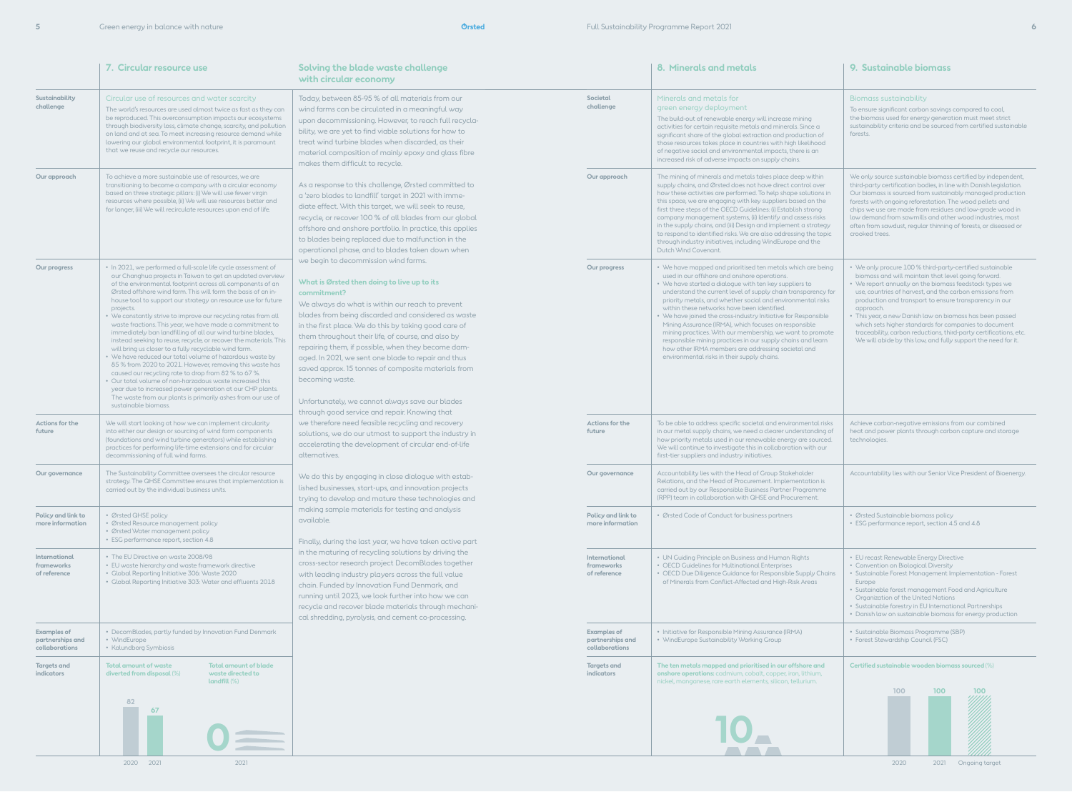|                                                          | 7. Circular resource use                                                                                                                                                                                                                                                                                                                                                                                                                                                                                                                                                                                                                                                                                                                                                                                                                                                                                                                                                                                                                                             | Solving the blade waste challenge<br>with circular economy                                                                                                                                                                                                                                                                                                                                                                                                                                                                                                                                                                                                                                                                                                                                                                                                                                                                                                                                                                                                                                                                                                                                                                                                                                                                                                                                                                                                                                                                                                                                                                                                                                                                                                                                                                                                                                                                      |                                                          | 8. Minerals and metals                                                                                                                                                                                                                                                                                                                                                                                                                                                                                                                                                                                                                                                                                         | 9. Sustainable biomass                                                                                                                                                                                                                                                                                                                                                                                                                                                                                                                                                   |
|----------------------------------------------------------|----------------------------------------------------------------------------------------------------------------------------------------------------------------------------------------------------------------------------------------------------------------------------------------------------------------------------------------------------------------------------------------------------------------------------------------------------------------------------------------------------------------------------------------------------------------------------------------------------------------------------------------------------------------------------------------------------------------------------------------------------------------------------------------------------------------------------------------------------------------------------------------------------------------------------------------------------------------------------------------------------------------------------------------------------------------------|---------------------------------------------------------------------------------------------------------------------------------------------------------------------------------------------------------------------------------------------------------------------------------------------------------------------------------------------------------------------------------------------------------------------------------------------------------------------------------------------------------------------------------------------------------------------------------------------------------------------------------------------------------------------------------------------------------------------------------------------------------------------------------------------------------------------------------------------------------------------------------------------------------------------------------------------------------------------------------------------------------------------------------------------------------------------------------------------------------------------------------------------------------------------------------------------------------------------------------------------------------------------------------------------------------------------------------------------------------------------------------------------------------------------------------------------------------------------------------------------------------------------------------------------------------------------------------------------------------------------------------------------------------------------------------------------------------------------------------------------------------------------------------------------------------------------------------------------------------------------------------------------------------------------------------|----------------------------------------------------------|----------------------------------------------------------------------------------------------------------------------------------------------------------------------------------------------------------------------------------------------------------------------------------------------------------------------------------------------------------------------------------------------------------------------------------------------------------------------------------------------------------------------------------------------------------------------------------------------------------------------------------------------------------------------------------------------------------------|--------------------------------------------------------------------------------------------------------------------------------------------------------------------------------------------------------------------------------------------------------------------------------------------------------------------------------------------------------------------------------------------------------------------------------------------------------------------------------------------------------------------------------------------------------------------------|
| Sustainability<br>challenge                              | Circular use of resources and water scarcity<br>The world's resources are used almost twice as fast as they can<br>be reproduced. This overconsumption impacts our ecosystems<br>through biodiversity loss, climate change, scarcity, and pollution<br>on land and at sea. To meet increasing resource demand while<br>lowering our global environmental footprint, it is paramount<br>that we reuse and recycle our resources.                                                                                                                                                                                                                                                                                                                                                                                                                                                                                                                                                                                                                                      | Today, between 85-95 % of all materials from our<br>wind farms can be circulated in a meaningful way<br>upon decommissioning. However, to reach full recycla-<br>bility, we are yet to find viable solutions for how to<br>treat wind turbine blades when discarded, as their<br>material composition of mainly epoxy and glass fibre<br>makes them difficult to recycle.                                                                                                                                                                                                                                                                                                                                                                                                                                                                                                                                                                                                                                                                                                                                                                                                                                                                                                                                                                                                                                                                                                                                                                                                                                                                                                                                                                                                                                                                                                                                                       | Societal<br>challenge                                    | Minerals and metals for<br>green energy deployment<br>The build-out of renewable energy will increase mining<br>activities for certain requisite metals and minerals. Since a<br>significant share of the global extraction and production of<br>those resources takes place in countries with high likelihood<br>of negative social and environmental impacts, there is an<br>increased risk of adverse impacts on supply chains.                                                                                                                                                                                                                                                                             | Biomass sustainability<br>To ensure significant carbon savings compared to coal,<br>the biomass used for energy generation must meet strict<br>sustainability criteria and be sourced from certified sustainable<br>forests.                                                                                                                                                                                                                                                                                                                                             |
| Our approach                                             | To achieve a more sustainable use of resources, we are<br>transitioning to become a company with a circular economy<br>based on three strategic pillars: (i) We will use fewer virgin<br>resources where possible, (ii) We will use resources better and<br>for longer, (iii) We will recirculate resources upon end of life.                                                                                                                                                                                                                                                                                                                                                                                                                                                                                                                                                                                                                                                                                                                                        | As a response to this challenge, Ørsted committed to<br>a 'zero blades to landfill' target in 2021 with imme-<br>diate effect. With this target, we will seek to reuse,<br>recycle, or recover 100 % of all blades from our global<br>offshore and onshore portfolio. In practice, this applies<br>to blades being replaced due to malfunction in the<br>operational phase, and to blades taken down when<br>we begin to decommission wind farms.<br>What is Ørsted then doing to live up to its<br>commitment?<br>We always do what is within our reach to prevent<br>blades from being discarded and considered as waste<br>in the first place. We do this by taking good care of<br>them throughout their life, of course, and also by<br>repairing them, if possible, when they become dam-<br>aged. In 2021, we sent one blade to repair and thus<br>saved approx. 15 tonnes of composite materials from<br>becoming waste.<br>Unfortunately, we cannot always save our blades<br>through good service and repair. Knowing that<br>we therefore need feasible recycling and recovery<br>solutions, we do our utmost to support the industry in<br>accelerating the development of circular end-of-life<br>alternatives.<br>We do this by engaging in close dialogue with estab-<br>lished businesses, start-ups, and innovation projects<br>trying to develop and mature these technologies and<br>making sample materials for testing and analysis<br>available.<br>Finally, during the last year, we have taken active part<br>in the maturing of recycling solutions by driving the<br>cross-sector research project DecomBlades together<br>with leading industry players across the full value<br>chain. Funded by Innovation Fund Denmark, and<br>running until 2023, we look further into how we can<br>recycle and recover blade materials through mechani-<br>cal shredding, pyrolysis, and cement co-processing. | Our approach                                             | The mining of minerals and metals takes place deep within<br>supply chains, and Ørsted does not have direct control over<br>how these activities are performed. To help shape solutions in<br>this space, we are engaging with key suppliers based on the<br>first three steps of the OECD Guidelines: (i) Establish strong<br>company management systems, (ii) Identify and assess risks<br>in the supply chains, and (iii) Design and implement a strategy<br>to respond to identified risks. We are also addressing the topic<br>through industry initiatives, including WindEurope and the<br>Dutch Wind Covenant.                                                                                         | We only source sustainable biomass certified by independent,<br>third-party certification bodies, in line with Danish legislation.<br>Our biomass is sourced from sustainably managed production<br>forests with ongoing reforestation. The wood pellets and<br>chips we use are made from residues and low-grade wood in<br>low demand from sawmills and other wood industries, most<br>often from sawdust, regular thinning of forests, or diseased or<br>crooked trees.                                                                                               |
| Our progress                                             | • In 2021, we performed a full-scale life cycle assessment of<br>our Changhua projects in Taiwan to get an updated overview<br>of the environmental footprint across all components of an<br>Ørsted offshore wind farm. This will form the basis of an in-<br>house tool to support our strategy on resource use for future<br>projects.<br>• We constantly strive to improve our recycling rates from all<br>waste fractions. This year, we have made a commitment to<br>immediately ban landfilling of all our wind turbine blades,<br>instead seeking to reuse, recycle, or recover the materials. This<br>will bring us closer to a fully recyclable wind farm.<br>• We have reduced our total volume of hazardous waste by<br>85 % from 2020 to 2021. However, removing this waste has<br>caused our recycling rate to drop from 82 % to 67 %.<br>• Our total volume of non-harzadous waste increased this<br>year due to increased power generation at our CHP plants.<br>The waste from our plants is primarily ashes from our use of<br>sustainable biomass. |                                                                                                                                                                                                                                                                                                                                                                                                                                                                                                                                                                                                                                                                                                                                                                                                                                                                                                                                                                                                                                                                                                                                                                                                                                                                                                                                                                                                                                                                                                                                                                                                                                                                                                                                                                                                                                                                                                                                 | Our progress                                             | • We have mapped and prioritised ten metals which are being<br>used in our offshore and onshore operations.<br>• We have started a dialogue with ten key suppliers to<br>understand the current level of supply chain transparency for<br>priority metals, and whether social and environmental risks<br>within these networks have been identified.<br>We have joined the cross-industry Initiative for Responsible<br>Mining Assurance (IRMA), which focuses on responsible<br>mining practices. With our membership, we want to promote<br>responsible mining practices in our supply chains and learn<br>how other IRMA members are addressing societal and<br>environmental risks in their supply chains. | • We only procure 100 % third-party-certified sustainable<br>biomass and will maintain that level going forward.<br>• We report annually on the biomass feedstock types we<br>use, countries of harvest, and the carbon emissions from<br>production and transport to ensure transparency in our<br>approach.<br>• This year, a new Danish law on biomass has been passed<br>which sets higher standards for companies to document<br>traceability, carbon reductions, third-party certifications, etc.<br>We will abide by this law, and fully support the need for it. |
| Actions for the<br>future                                | We will start looking at how we can implement circularity<br>into either our design or sourcing of wind farm components<br>(foundations and wind turbine generators) while establishing<br>practices for performing life-time extensions and for circular<br>decommissioning of full wind farms.                                                                                                                                                                                                                                                                                                                                                                                                                                                                                                                                                                                                                                                                                                                                                                     |                                                                                                                                                                                                                                                                                                                                                                                                                                                                                                                                                                                                                                                                                                                                                                                                                                                                                                                                                                                                                                                                                                                                                                                                                                                                                                                                                                                                                                                                                                                                                                                                                                                                                                                                                                                                                                                                                                                                 | Actions for the<br>future                                | To be able to address specific societal and environmental risks<br>in our metal supply chains, we need a clearer understanding of<br>how priority metals used in our renewable energy are sourced.<br>We will continue to investigate this in collaboration with our<br>first-tier suppliers and industry initiatives.                                                                                                                                                                                                                                                                                                                                                                                         | Achieve carbon-negative emissions from our combined<br>heat and power plants through carbon capture and storage<br>technologies.                                                                                                                                                                                                                                                                                                                                                                                                                                         |
| Our governance                                           | The Sustainability Committee oversees the circular resource<br>strategy. The QHSE Committee ensures that implementation is<br>carried out by the individual business units.                                                                                                                                                                                                                                                                                                                                                                                                                                                                                                                                                                                                                                                                                                                                                                                                                                                                                          |                                                                                                                                                                                                                                                                                                                                                                                                                                                                                                                                                                                                                                                                                                                                                                                                                                                                                                                                                                                                                                                                                                                                                                                                                                                                                                                                                                                                                                                                                                                                                                                                                                                                                                                                                                                                                                                                                                                                 | Our governance                                           | Accountability lies with the Head of Group Stakeholder<br>Relations, and the Head of Procurement. Implementation is<br>carried out by our Responsible Business Partner Programme<br>(RPP) team in collaboration with QHSE and Procurement.                                                                                                                                                                                                                                                                                                                                                                                                                                                                     | Accountability lies with our Senior Vice President of Bioenergy.                                                                                                                                                                                                                                                                                                                                                                                                                                                                                                         |
| Policy and link to<br>more information                   | • Ørsted QHSE policy<br>· Ørsted Resource management policy<br>• Ørsted Water management policy<br>• ESG performance report, section 4.8                                                                                                                                                                                                                                                                                                                                                                                                                                                                                                                                                                                                                                                                                                                                                                                                                                                                                                                             |                                                                                                                                                                                                                                                                                                                                                                                                                                                                                                                                                                                                                                                                                                                                                                                                                                                                                                                                                                                                                                                                                                                                                                                                                                                                                                                                                                                                                                                                                                                                                                                                                                                                                                                                                                                                                                                                                                                                 | Policy and link to<br>more information                   | • Ørsted Code of Conduct for business partners                                                                                                                                                                                                                                                                                                                                                                                                                                                                                                                                                                                                                                                                 | • Ørsted Sustainable biomass policy<br>• ESG performance report, section 4.5 and 4.8                                                                                                                                                                                                                                                                                                                                                                                                                                                                                     |
| International<br>frameworks<br>of reference              | • The EU Directive on waste 2008/98<br>• EU waste hierarchy and waste framework directive<br>• Global Reporting Initiative 306: Waste 2020<br>• Global Reporting Initiative 303: Water and effluents 2018                                                                                                                                                                                                                                                                                                                                                                                                                                                                                                                                                                                                                                                                                                                                                                                                                                                            |                                                                                                                                                                                                                                                                                                                                                                                                                                                                                                                                                                                                                                                                                                                                                                                                                                                                                                                                                                                                                                                                                                                                                                                                                                                                                                                                                                                                                                                                                                                                                                                                                                                                                                                                                                                                                                                                                                                                 | International<br>frameworks<br>of reference              | • UN Guiding Principle on Business and Human Rights<br>• OECD Guidelines for Multinational Enterprises<br>• OECD Due Diligence Guidance for Responsible Supply Chains<br>of Minerals from Conflict-Affected and High-Risk Areas                                                                                                                                                                                                                                                                                                                                                                                                                                                                                | • EU recast Renewable Energy Directive<br>• Convention on Biological Diversity<br>• Sustainable Forest Management Implementation - Forest<br>Europe<br>• Sustainable forest management Food and Agriculture<br>Organization of the United Nations<br>• Sustainable forestry in EU International Partnerships<br>• Danish law on sustainable biomass for energy production                                                                                                                                                                                                |
| <b>Examples of</b><br>partnerships and<br>collaborations | • DecomBlades, partly funded by Innovation Fund Denmark<br>• WindEurope<br>• Kalundborg Symbiosis                                                                                                                                                                                                                                                                                                                                                                                                                                                                                                                                                                                                                                                                                                                                                                                                                                                                                                                                                                    |                                                                                                                                                                                                                                                                                                                                                                                                                                                                                                                                                                                                                                                                                                                                                                                                                                                                                                                                                                                                                                                                                                                                                                                                                                                                                                                                                                                                                                                                                                                                                                                                                                                                                                                                                                                                                                                                                                                                 | <b>Examples of</b><br>partnerships and<br>collaborations | • Initiative for Responsible Mining Assurance (IRMA)<br>• WindEurope Sustainability Working Group                                                                                                                                                                                                                                                                                                                                                                                                                                                                                                                                                                                                              | · Sustainable Biomass Programme (SBP)<br>• Forest Stewardship Council (FSC)                                                                                                                                                                                                                                                                                                                                                                                                                                                                                              |
| Targets and<br>indicators                                | <b>Total amount of waste</b><br><b>Total amount of blade</b><br>waste directed to<br>diverted from disposal (%)<br>landfill (%)<br>82<br>67                                                                                                                                                                                                                                                                                                                                                                                                                                                                                                                                                                                                                                                                                                                                                                                                                                                                                                                          |                                                                                                                                                                                                                                                                                                                                                                                                                                                                                                                                                                                                                                                                                                                                                                                                                                                                                                                                                                                                                                                                                                                                                                                                                                                                                                                                                                                                                                                                                                                                                                                                                                                                                                                                                                                                                                                                                                                                 | <b>Targets and</b><br>indicators                         | The ten metals mapped and prioritised in our offshore and<br><b>onshore operations:</b> cadmium, cobalt, copper, iron, lithium,<br>nickel, manganese, rare earth elements, silicon, tellurium.                                                                                                                                                                                                                                                                                                                                                                                                                                                                                                                 | Certified sustainable wooden biomass sourced (%)<br>100<br>100<br>100                                                                                                                                                                                                                                                                                                                                                                                                                                                                                                    |

2020 2021 Ongoing target

2020 2021 2021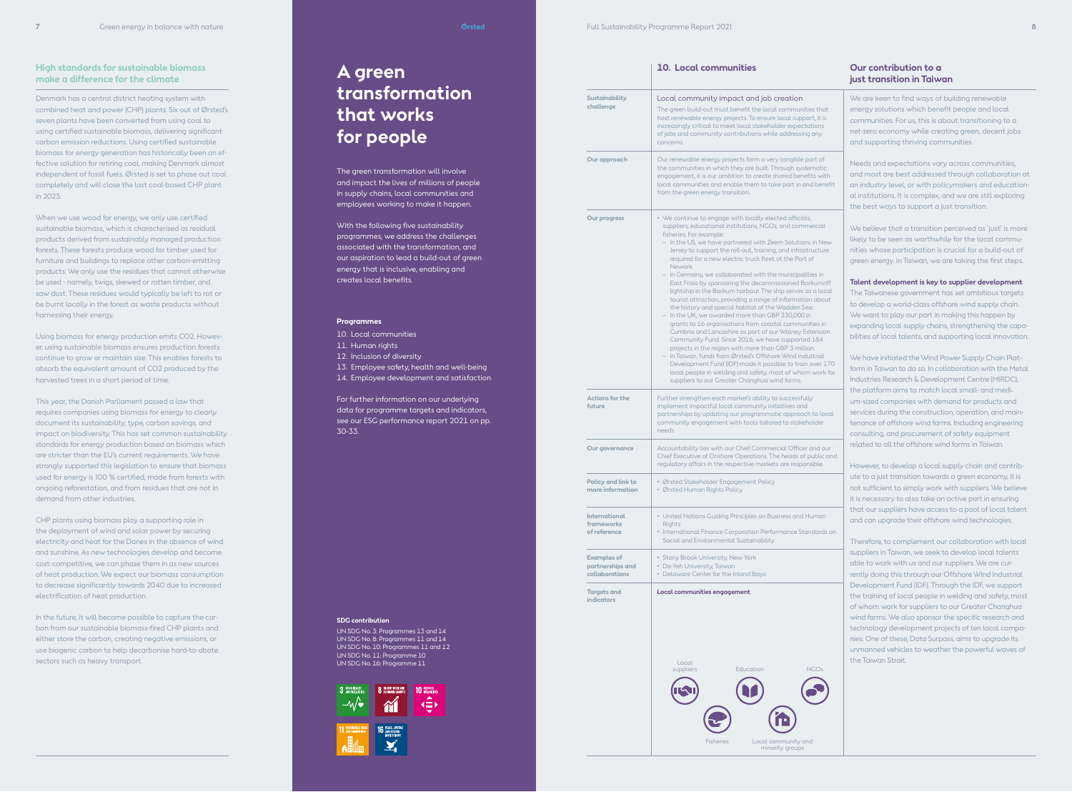# **A green transformation**

# **that works for people**

The green transformation will involve and impact the lives of millions of people in supply chains, local communities and employees working to make it happen.

With the following five sustainability programmes, we address the challenges associated with the transformation, and our aspiration to lead a build-out of green energy that is inclusive, enabling and creates local benefits.

### **Programmes**

- 10. Local communities
- 11. Human rights
- 12. Inclusion of diversity
- 13. Employee safety, health and well-being
- 14. Employee development and satisfaction

For further information on our underlying data for programme targets and indicators, see our ESG performance report 2021 on pp. 30-33.

### **SDG contribution**

UN SDG No. 3: Programmes 13 and 14 UN SDG No. 8: Programmes 11 and 14 UN SDG No. 10: Programmes 11 and 12 UN SDG No. 11: Programme 10 UN SDG No. 16: Programme 11



Denmark has a central district heating system with combined heat and power (CHP) plants. Six out of Ørsted's seven plants have been converted from using coal to using certified sustainable biomass, delivering significant carbon emission reductions. Using certified sustainable biomass for energy generation has historically been an effective solution for retiring coal, making Denmark almost independent of fossil fuels. Ørsted is set to phase out coal completely and will close the last coal-based CHP plant in 2023.

When we use wood for energy, we only use certified sustainable biomass, which is characterised as residual products derived from sustainably managed production forests. These forests produce wood for timber used for furniture and buildings to replace other carbon-emitting products. We only use the residues that cannot otherwise be used - namely, twigs, skewed or rotten timber, and saw dust. These residues would typically be left to rot or be burnt locally in the forest as waste products without harnessing their energy.

Using biomass for energy production emits CO2. However, using sustainable biomass ensures production forests continue to grow or maintain size. This enables forests to absorb the equivalent amount of CO2 produced by the harvested trees in a short period of time.

This year, the Danish Parliament passed a law that requires companies using biomass for energy to clearly document its sustainability, type, carbon savings, and impact on biodiversity. This has set common sustainability standards for energy production based on biomass which are stricter than the EU's current requirements. We have strongly supported this legislation to ensure that biomass used for energy is 100 % certified, made from forests with ongoing reforestation, and from residues that are not in demand from other industries.

We have initiated the Wind Power Supply Chain Platform in Taiwan to do so. In collaboration with the Metal Industries Research & Development Centre (MIRDC), the platform aims to match local small- and medium-sized companies with demand for products and services during the construction, operation, and maintenance of offshore wind farms. Including engineering consulting, and procurement of safety equipment related to all the offshore wind farms in Taiwan.

CHP plants using biomass play a supporting role in the deployment of wind and solar power by securing electricity and heat for the Danes in the absence of wind and sunshine. As new technologies develop and become cost-competitive, we can phase them in as new sources of heat production. We expect our biomass consumption to decrease significantly towards 2040 due to increased electrification of heat production.

In the future, it will become possible to capture the carbon from our sustainable biomass-fired CHP plants and either store the carbon, creating negative emissions, or use biogenic carbon to help decarbonise hard-to-abate sectors such as heavy transport.

## **High standards for sustainable biomass make a difference for the climate**

# **just transition in Taiwan**

**Sustainability challenge**

We are keen to find ways of building renewable energy solutions which benefit people and local communities. For us, this is about transitioning to a net-zero economy while creating green, decent jobs and supporting thriving communities.

Needs and expectations vary across communities, and most are best addressed through collaboration at an industry level, or with policymakers and educational institutions. It is complex, and we are still exploring the best ways to support a just transition.

We believe that a transition perceived as 'just' is more likely to be seen as worthwhile for the local communities whose participation is crucial for a build-out of green energy. In Taiwan, we are taking the first steps.

**Talent development is key to supplier development**  The Taiwanese government has set ambitious targets to develop a world-class offshore wind supply chain. We want to play our part in making this happen by expanding local supply chains, strengthening the capabilities of local talents, and supporting local innovation.

# **10. Local communities Our contribution to a**  Local community impact and job creation The green build-out must benefit the local communities that host renewable energy projects. To ensure local support, it is increasingly critical to meet local stakeholder expectations of jobs and community contributions while addressing any concerns. **Our approach** Our renewable energy projects form a very tangible part of the communities in which they are built. Through systematic engagement, it is our ambition to create shared benefits with local communities and enable them to take part in and benefit from the green energy transition. **Our progress** • We continue to engage with locally elected officials, suppliers, educational institutions, NGOs, and commercial fisheries. For example: – In the US, we have partnered with Zeem Solutions in New Jersey to support the roll-out, training, and infrastructure required for a new electric truck fleet at the Port of Newark. – In Germany, we collaborated with the municipalities in

However, to develop a local supply chain and contribute to a just transition towards a green economy, it is not sufficient to simply work with suppliers. We believe it is necessary to also take an active part in ensuring that our suppliers have access to a pool of local talent and can upgrade their offshore wind technologies.

Therefore, to complement our collaboration with local suppliers in Taiwan, we seek to develop local talents able to work with us and our suppliers. We are currently doing this through our Offshore Wind Industrial Development Fund (IDF). Through the IDF, we support the training of local people in welding and safety, most of whom work for suppliers to our Greater Changhua wind farms. We also sponsor the specific research and technology development projects of ten local companies. One of these, Data Surpass, aims to upgrade its unmanned vehicles to weather the powerful waves of the Taiwan Strait.

East Frisia by sponsoring the decommissioned Borkumriff lightship in the Borkum harbour. The ship serves as a local tourist attraction, providing a range of information about the history and special habitat of the Wadden Sea. – In the UK, we awarded more than GBP 330,000 in grants to 16 organisations from coastal communities in Cumbria and Lancashire as part of our Walney Extension Community Fund. Since 2016, we have supported 184 projects in the region with more than GBP 3 million. – In Taiwan, funds from Ørsted's Offshore Wind Industrial Development Fund (IDF) made it possible to train over 170 local people in welding and safety, most of whom work for suppliers to our Greater Changhua wind farms. **Actions for the**  Further strengthen each market's ability to successfully implement impactful local community initiatives and partnerships by updating our programmatic approach to local community engagement with tools tailored to stakeholder needs. **Our governance** Accountability lies with our Chief Commercial Officer and our Chief Executive of Onshore Operations. The heads of public and regulatory affairs in the respective markets are responsible. **Policy and link to more information** • Ørsted Stakeholder Engagement Policy • Ørsted Human Rights Policy **International frameworks of reference** • United Nations Guiding Principles on Business and Human Rights • International Finance Corporation Performance Standards on

**future**

Social and Environmental Sustainability **Examples of partnerships and collaborations** • Stony Brook University, New York • Da-Yeh University, Taiwar • Delaware Center for the Inland Bays **Targets and indicators Local communities engagement**

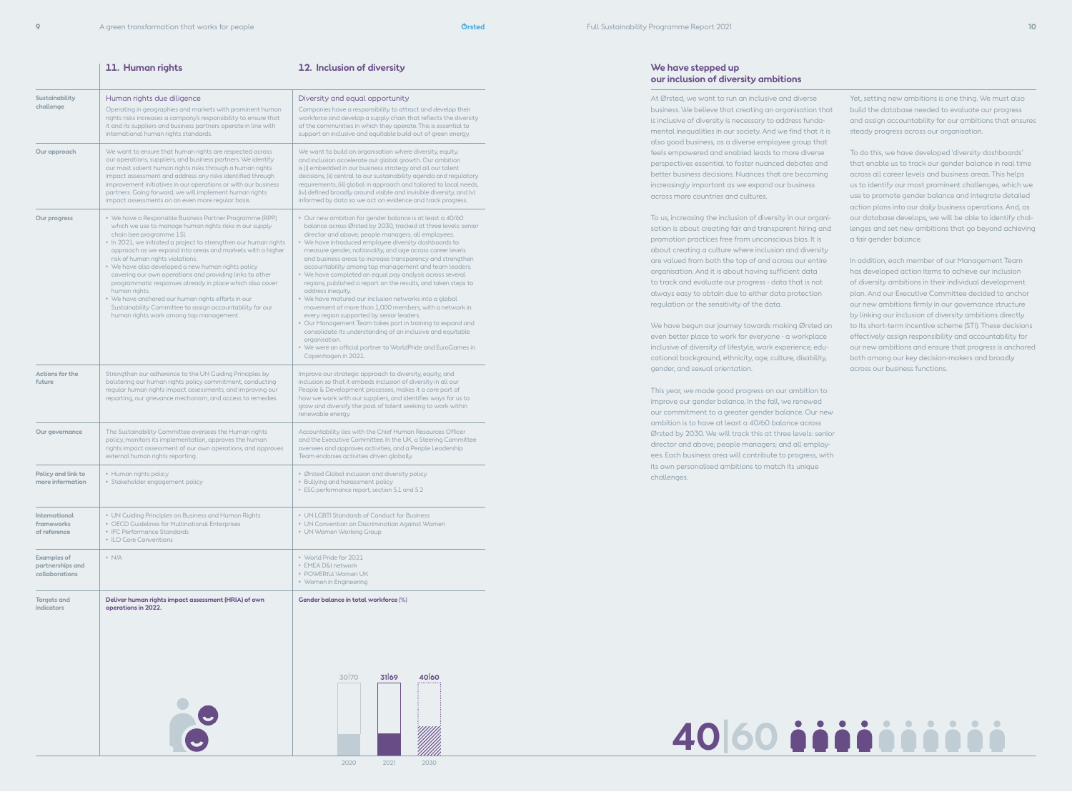|                                                                                                                                                                                                                                                                                                        | 11. Human rights                                                                                                                                                                                                                                                                                                                                                                                                                                                                                                                                                                                                                                                                    | 12. Inclusion of diversity                                                                                                                                                                                                                                                                                                                                                                                                                                                                                                                                                                                                                                                                                                                                                                                                                                                                                                                                                               |  |  |
|--------------------------------------------------------------------------------------------------------------------------------------------------------------------------------------------------------------------------------------------------------------------------------------------------------|-------------------------------------------------------------------------------------------------------------------------------------------------------------------------------------------------------------------------------------------------------------------------------------------------------------------------------------------------------------------------------------------------------------------------------------------------------------------------------------------------------------------------------------------------------------------------------------------------------------------------------------------------------------------------------------|------------------------------------------------------------------------------------------------------------------------------------------------------------------------------------------------------------------------------------------------------------------------------------------------------------------------------------------------------------------------------------------------------------------------------------------------------------------------------------------------------------------------------------------------------------------------------------------------------------------------------------------------------------------------------------------------------------------------------------------------------------------------------------------------------------------------------------------------------------------------------------------------------------------------------------------------------------------------------------------|--|--|
| Sustainability<br>Human rights due diligence<br>challenge<br>Operating in geographies and markets with prominent human<br>rights risks increases a company's responsibility to ensure that<br>it and its suppliers and business partners operate in line with<br>international human rights standards. |                                                                                                                                                                                                                                                                                                                                                                                                                                                                                                                                                                                                                                                                                     | Diversity and equal opportunity<br>Companies have a responsibility to attract and develop their<br>workforce and develop a supply chain that reflects the diversity<br>of the communities in which they operate. This is essential to<br>support an inclusive and equitable build-out of green energy.                                                                                                                                                                                                                                                                                                                                                                                                                                                                                                                                                                                                                                                                                   |  |  |
| Our approach                                                                                                                                                                                                                                                                                           | We want to ensure that human rights are respected across<br>our operations, suppliers, and business partners. We identify<br>our most salient human rights risks through a human rights<br>impact assessment and address any risks identified through<br>improvement initiatives in our operations or with our business<br>partners. Going forward, we will implement human rights<br>impact assessments on an even more regular basis.                                                                                                                                                                                                                                             | We want to build an organisation where diversity, equity,<br>and inclusion accelerate our global growth. Our ambition<br>is (i) embedded in our business strategy and all our talent<br>decisions, (ii) central to our sustainability agenda and regulatory<br>requirements, (iii) global in approach and tailored to local needs,<br>(iv) defined broadly around visible and invisible diversity, and (v)<br>informed by data so we act on evidence and track progress.                                                                                                                                                                                                                                                                                                                                                                                                                                                                                                                 |  |  |
| Our progress                                                                                                                                                                                                                                                                                           | • We have a Responsible Business Partner Programme (RPP)<br>which we use to manage human rights risks in our supply<br>chain (see programme 15).<br>• In 2021, we initiated a project to strengthen our human rights<br>approach as we expand into areas and markets with a higher<br>risk of human rights violations.<br>• We have also developed a new human rights policy<br>covering our own operations and providing links to other<br>programmatic responses already in place which also cover<br>human rights.<br>• We have anchored our human rights efforts in our<br>Sustainability Committee to assign accountability for our<br>human rights work among top management. | · Our new ambition for gender balance is at least a 40/60<br>balance across Ørsted by 2030, tracked at three levels: senior<br>director and above; people managers; all employees.<br>• We have introduced employee diversity dashboards to<br>measure gender, nationality, and age across career levels<br>and business areas to increase transparency and strengthen<br>accountability among top management and team leaders.<br>• We have completed an equal pay analysis across several<br>regions, published a report on the results, and taken steps to<br>address inequity.<br>• We have matured our inclusion networks into a global<br>movement of more than 1,000 members, with a network in<br>every region supported by senior leaders.<br>• Our Management Team takes part in training to expand and<br>consolidate its understanding of an inclusive and equitable<br>organisation.<br>• We were an official partner to WorldPride and EuroGames in<br>Copenhagen in 2021. |  |  |
| Actions for the<br>future                                                                                                                                                                                                                                                                              | Strengthen our adherence to the UN Guiding Principles by<br>bolstering our human rights policy commitment, conducting<br>regular human rights impact assessments, and improving our<br>reporting, our grievance mechanism, and access to remedies.                                                                                                                                                                                                                                                                                                                                                                                                                                  | Improve our strategic approach to diversity, equity, and<br>inclusion so that it embeds inclusion of diversity in all our<br>People & Development processes, makes it a core part of<br>how we work with our suppliers, and identifies ways for us to<br>grow and diversify the pool of talent seeking to work within<br>renewable energy.                                                                                                                                                                                                                                                                                                                                                                                                                                                                                                                                                                                                                                               |  |  |
| Our governance                                                                                                                                                                                                                                                                                         | The Sustainability Committee oversees the Human rights<br>policy, monitors its implementation, approves the human<br>rights impact assessment of our own operations, and approves<br>external human rights reporting.                                                                                                                                                                                                                                                                                                                                                                                                                                                               | Accountability lies with the Chief Human Resources Officer<br>and the Executive Committee. In the UK, a Steering Committee<br>oversees and approves activities, and a People Leadership<br>Team endorses activities driven globally.                                                                                                                                                                                                                                                                                                                                                                                                                                                                                                                                                                                                                                                                                                                                                     |  |  |
| Policy and link to<br>more information                                                                                                                                                                                                                                                                 | • Human rights policy<br>• Ørsted Global inclusion and diversity policy<br>• Stakeholder engagement policy<br>• Bullying and harassment policy<br>• ESG performance report, section 5.1 and 5.2                                                                                                                                                                                                                                                                                                                                                                                                                                                                                     |                                                                                                                                                                                                                                                                                                                                                                                                                                                                                                                                                                                                                                                                                                                                                                                                                                                                                                                                                                                          |  |  |
| <b>International</b><br>frameworks<br>of reference                                                                                                                                                                                                                                                     | • UN Guiding Principles on Business and Human Rights<br>• OECD Guidelines for Multinational Enterprises<br>• IFC Performance Standards<br>• ILO Core Conventions                                                                                                                                                                                                                                                                                                                                                                                                                                                                                                                    | • UN LGBTI Standards of Conduct for Business<br>• UN Convention on Discrimination Against Women<br>• UN Women Working Group                                                                                                                                                                                                                                                                                                                                                                                                                                                                                                                                                                                                                                                                                                                                                                                                                                                              |  |  |
| <b>Examples of</b><br>partnerships and<br>collaborations                                                                                                                                                                                                                                               | $\cdot$ N/A                                                                                                                                                                                                                                                                                                                                                                                                                                                                                                                                                                                                                                                                         | • World Pride for 2021<br>· EMEA D&I network<br>· POWERful Women UK<br>• Women in Engineering                                                                                                                                                                                                                                                                                                                                                                                                                                                                                                                                                                                                                                                                                                                                                                                                                                                                                            |  |  |
| <b>Targets and</b><br><b>indicators</b>                                                                                                                                                                                                                                                                | Deliver human rights impact assessment (HRIA) of own<br>operations in 2022.                                                                                                                                                                                                                                                                                                                                                                                                                                                                                                                                                                                                         | Gender balance in total workforce (%)<br>30 70<br>31 69<br>40 60                                                                                                                                                                                                                                                                                                                                                                                                                                                                                                                                                                                                                                                                                                                                                                                                                                                                                                                         |  |  |

At Ørsted, we want to run an inclusive and diverse business. We believe that creating an organisation that is inclusive of diversity is necessary to address fundamental inequalities in our society. And we find that it is also good business, as a diverse employee group that feels empowered and enabled leads to more diverse perspectives essential to foster nuanced debates and better business decisions. Nuances that are becoming increasingly important as we expand our business across more countries and cultures.

To us, increasing the inclusion of diversity in our organisation is about creating fair and transparent hiring and promotion practices free from unconscious bias. It is about creating a culture where inclusion and diversity are valued from both the top of and across our entire organisation. And it is about having sufficient data to track and evaluate our progress - data that is not always easy to obtain due to either data protection regulation or the sensitivity of the data.

We have begun our journey towards making Ørsted an even better place to work for everyone - a workplace inclusive of diversity of lifestyle, work experience, educational background, ethnicity, age, culture, disability, gender, and sexual orientation.

This year, we made good progress on our ambition to improve our gender balance. In the fall, we renewed our commitment to a greater gender balance. Our new ambition is to have at least a 40/60 balance across Ørsted by 2030. We will track this at three levels: senior director and above; people managers; and all employees. Each business area will contribute to progress, with its own personalised ambitions to match its unique challenges.



Yet, setting new ambitions is one thing. We must also build the database needed to evaluate our progress and assign accountability for our ambitions that ensures steady progress across our organisation.

To do this, we have developed 'diversity dashboards' that enable us to track our gender balance in real time across all career levels and business areas. This helps us to identify our most prominent challenges, which we use to promote gender balance and integrate detailed action plans into our daily business operations. And, as our database develops, we will be able to identify challenges and set new ambitions that go beyond achieving a fair gender balance.

In addition, each member of our Management Team has developed action items to achieve our inclusion of diversity ambitions in their individual development plan. And our Executive Committee decided to anchor our new ambitions firmly in our governance structure by linking our inclusion of diversity ambitions directly to its short-term incentive scheme (STI). These decisions effectively assign responsibility and accountability for our new ambitions and ensure that progress is anchored both among our key decision-makers and broadly across our business functions.

## **We have stepped up our inclusion of diversity ambitions**

2021 2030 2020

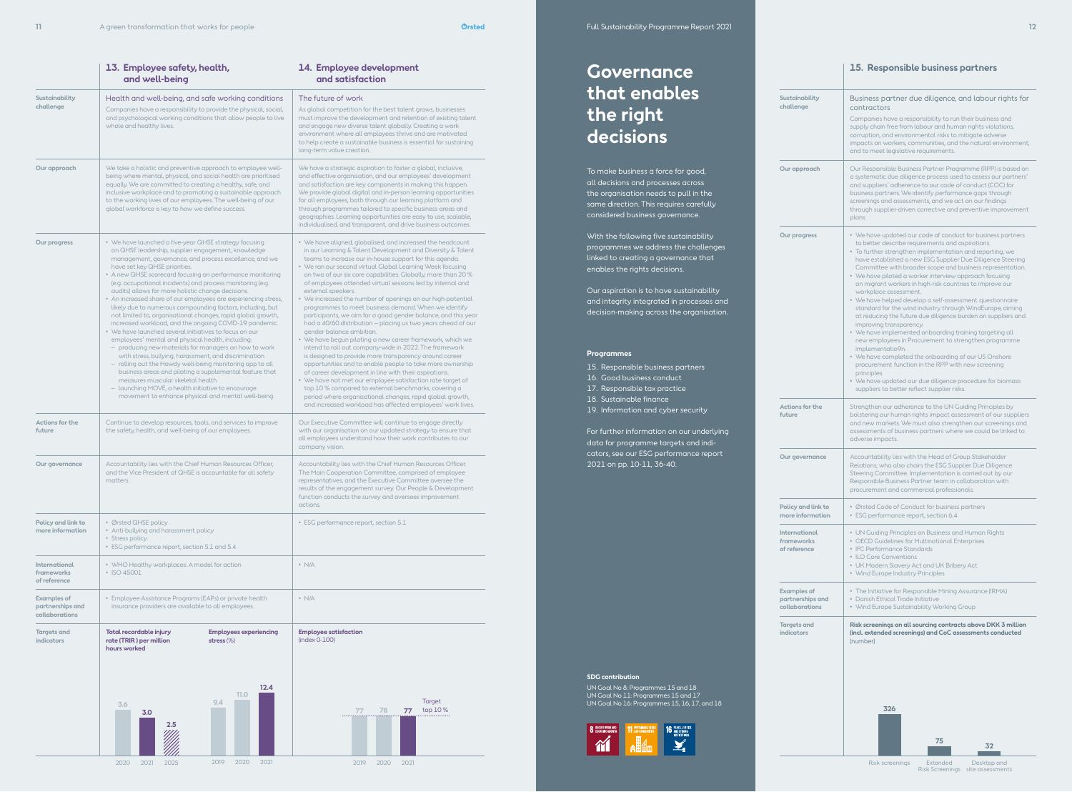# **Governance that enables the right decisions**

To make business a force for good, all decisions and processes across the organisation needs to pull in the same direction. This requires carefully considered business governance.

With the following five sustainability programmes we address the challenges linked to creating a governance that enables the rights decisions.

Our aspiration is to have sustainability and integrity integrated in processes and decision-making across the organisation.

### **Programmes**

15. Responsible business partners

16. Good business conduct

- 17. Responsible tax practice
- 18. Sustainable finance
- 19. Information and cyber security

For further information on our underlying data for programme targets and indicators, see our ESG performance report 2021 on pp. 10-11, 36-40.

> **Policy and** more inform

### **SDG contribution**

UN Goal No 8: Programmes 15 and 18 UN Goal No 11: Programmes 15 and 17 UN Goal No 16: Programmes 15, 16, 17, and 18



|                                                          | 13. Employee safety, health,<br>and well-being                                                                                                                                                                                                                                                                                                                                                                                                                                                                                                                                                                                                                                                                                                                                                                                                                                                                                                                                                                                                                                                                                                              | 14. Employee development<br>and satisfaction                                                                                                                                                                                                                                                                                                                                                                                                                                                                                                                                                                                                                                                                                                                                                                                                                                                                                                                                                                                                                                                                                                                                                                                                       |  |
|----------------------------------------------------------|-------------------------------------------------------------------------------------------------------------------------------------------------------------------------------------------------------------------------------------------------------------------------------------------------------------------------------------------------------------------------------------------------------------------------------------------------------------------------------------------------------------------------------------------------------------------------------------------------------------------------------------------------------------------------------------------------------------------------------------------------------------------------------------------------------------------------------------------------------------------------------------------------------------------------------------------------------------------------------------------------------------------------------------------------------------------------------------------------------------------------------------------------------------|----------------------------------------------------------------------------------------------------------------------------------------------------------------------------------------------------------------------------------------------------------------------------------------------------------------------------------------------------------------------------------------------------------------------------------------------------------------------------------------------------------------------------------------------------------------------------------------------------------------------------------------------------------------------------------------------------------------------------------------------------------------------------------------------------------------------------------------------------------------------------------------------------------------------------------------------------------------------------------------------------------------------------------------------------------------------------------------------------------------------------------------------------------------------------------------------------------------------------------------------------|--|
| Sustainability<br>challenge                              | Health and well-being, and safe working conditions<br>Companies have a responsibility to provide the physical, social,<br>and psychological working conditions that allow people to live<br>whole and healthy lives.                                                                                                                                                                                                                                                                                                                                                                                                                                                                                                                                                                                                                                                                                                                                                                                                                                                                                                                                        | The future of work<br>As global competition for the best talent grows, businesses<br>must improve the development and retention of existing talent<br>and engage new diverse talent globally. Creating a work<br>environment where all employees thrive and are motivated<br>to help create a sustainable business is essential for sustaining<br>long-term value creation.                                                                                                                                                                                                                                                                                                                                                                                                                                                                                                                                                                                                                                                                                                                                                                                                                                                                        |  |
| Our approach                                             | We take a holistic and preventive approach to employee well-<br>being where mental, physical, and social health are prioritised<br>equally. We are committed to creating a healthy, safe, and<br>inclusive workplace and to promoting a sustainable approach<br>to the working lives of our employees. The well-being of our<br>global workforce is key to how we define success.                                                                                                                                                                                                                                                                                                                                                                                                                                                                                                                                                                                                                                                                                                                                                                           | We have a strategic aspiration to foster a global, inclusive,<br>and effective organisation, and our employees' development<br>and satisfaction are key components in making this happen.<br>We provide global digital and in-person learning opportunities<br>for all employees, both through our learning platform and<br>through programmes tailored to specific business areas and<br>geographies. Learning opportunities are easy to use, scalable,<br>individualised, and transparent, and drive business outcomes.                                                                                                                                                                                                                                                                                                                                                                                                                                                                                                                                                                                                                                                                                                                          |  |
| Our progress                                             | • We have launched a five-year QHSE strategy focusing<br>on QHSE leadership, supplier engagement, knowledge<br>management, governance, and process excellence, and we<br>have set key QHSE priorities.<br>• A new QHSE scorecard focusing on performance monitoring<br>(e.g. occupational incidents) and process monitoring (e.g.<br>audits) allows for more holistic change decisions.<br>• An increased share of our employees are experiencing stress,<br>likely due to numerous compounding factors, including, but<br>not limited to, organisational changes, rapid global growth,<br>increased workload, and the ongoing COVID-19 pandemic.<br>• We have launched several initiatives to focus on our<br>employees' mental and physical health, including:<br>- producing new materials for managers on how to work<br>with stress, bullying, harassment, and discrimination<br>- rolling out the Howdy well-being monitoring app to all<br>business areas and piloting a supplemental feature that<br>measures muscular skeletal health<br>- launching MOVE, a health initiative to encourage<br>movement to enhance physical and mental well-being. | • We have aligned, globalised, and increased the headcount<br>in our Learning & Talent Development and Diversity & Talent<br>teams to increase our in-house support for this agenda.<br>• We ran our second virtual Global Learning Week focusing<br>on two of our six core capabilities. Globally, more than 20 %<br>of employees attended virtual sessions led by internal and<br>external speakers.<br>• We increased the number of openings on our high-potential<br>programmes to meet business demand. When we identify<br>participants, we aim for a good gender balance, and this year<br>had a 40/60 distribution - placing us two years ahead of our<br>gender balance ambition.<br>• We have begun piloting a new career framework, which we<br>intend to roll out company-wide in 2022. The framework<br>is designed to provide more transparency around career<br>opportunities and to enable people to take more ownership<br>of career development in line with their aspirations.<br>• We have not met our employee satisfaction rate target of<br>top 10 % compared to external benchmarks, covering a<br>period where organisational changes, rapid global growth,<br>and increased workload has affected employees' work lives. |  |
| Actions for the<br>future                                | Continue to develop resources, tools, and services to improve<br>the safety, health, and well-being of our employees.                                                                                                                                                                                                                                                                                                                                                                                                                                                                                                                                                                                                                                                                                                                                                                                                                                                                                                                                                                                                                                       | Our Executive Committee will continue to engage directly<br>with our organisation on our updated strategy to ensure that<br>all employees understand how their work contributes to our<br>company vision.                                                                                                                                                                                                                                                                                                                                                                                                                                                                                                                                                                                                                                                                                                                                                                                                                                                                                                                                                                                                                                          |  |
| Our governance                                           | Accountability lies with the Chief Human Resources Officer,<br>and the Vice President of QHSE is accountable for all safety<br>matters.                                                                                                                                                                                                                                                                                                                                                                                                                                                                                                                                                                                                                                                                                                                                                                                                                                                                                                                                                                                                                     | Accountability lies with the Chief Human Resources Officer.<br>The Main Cooperation Committee, comprised of employee<br>representatives, and the Executive Committee oversee the<br>results of the engagement survey. Our People & Development<br>function conducts the survey and oversees improvement<br>actions.                                                                                                                                                                                                                                                                                                                                                                                                                                                                                                                                                                                                                                                                                                                                                                                                                                                                                                                                |  |
| Policy and link to<br>more information                   | • Ørsted QHSE policy<br>• Anti-bullying and harassment policy<br>• Stress policy<br>• ESG performance report, section 5.1 and 5.4                                                                                                                                                                                                                                                                                                                                                                                                                                                                                                                                                                                                                                                                                                                                                                                                                                                                                                                                                                                                                           | • ESG performance report, section 5.1                                                                                                                                                                                                                                                                                                                                                                                                                                                                                                                                                                                                                                                                                                                                                                                                                                                                                                                                                                                                                                                                                                                                                                                                              |  |
| <b>International</b><br>frameworks<br>of reference       | • WHO Healthy workplaces: A model for action<br>• ISO 45001                                                                                                                                                                                                                                                                                                                                                                                                                                                                                                                                                                                                                                                                                                                                                                                                                                                                                                                                                                                                                                                                                                 | $\cdot$ N/A                                                                                                                                                                                                                                                                                                                                                                                                                                                                                                                                                                                                                                                                                                                                                                                                                                                                                                                                                                                                                                                                                                                                                                                                                                        |  |
| <b>Examples of</b><br>partnerships and<br>collaborations | • Employee Assistance Programs (EAPs) or private health<br>insurance providers are available to all employees.                                                                                                                                                                                                                                                                                                                                                                                                                                                                                                                                                                                                                                                                                                                                                                                                                                                                                                                                                                                                                                              | $\cdot$ N/A                                                                                                                                                                                                                                                                                                                                                                                                                                                                                                                                                                                                                                                                                                                                                                                                                                                                                                                                                                                                                                                                                                                                                                                                                                        |  |
| <b>Targets and</b><br><b>indicators</b>                  | Total recordable injury<br><b>Employees experiencing</b><br>rate (TRIR) per million<br>stress $(\%)$<br>hours worked                                                                                                                                                                                                                                                                                                                                                                                                                                                                                                                                                                                                                                                                                                                                                                                                                                                                                                                                                                                                                                        | <b>Employee satisfaction</b><br>$(index 0-100)$                                                                                                                                                                                                                                                                                                                                                                                                                                                                                                                                                                                                                                                                                                                                                                                                                                                                                                                                                                                                                                                                                                                                                                                                    |  |
|                                                          | 12.4<br>11.0<br>9.4<br>3.6<br>3.0                                                                                                                                                                                                                                                                                                                                                                                                                                                                                                                                                                                                                                                                                                                                                                                                                                                                                                                                                                                                                                                                                                                           | Target<br>top $10\%$<br>78<br>77<br>77                                                                                                                                                                                                                                                                                                                                                                                                                                                                                                                                                                                                                                                                                                                                                                                                                                                                                                                                                                                                                                                                                                                                                                                                             |  |

2020 2021 2025 2019 2020 2021

**2.5**

2020 2021 2019

### **15. Responsible business partners**

| Sustainability<br>challenge                                                                                                                                                                                                                                                                               | Business partner due diligence, and labour rights for<br>contractors<br>Companies have a responsibility to run their business and<br>supply chain free from labour and human rights violations,<br>corruption, and environmental risks to mitigate adverse<br>impacts on workers, communities, and the natural environment,<br>and to meet legislative requirements.                                                                                                                                                                                                                                                                                                                                                                                                                                                                                                                                                                                                                                                                                      |  |  |  |  |
|-----------------------------------------------------------------------------------------------------------------------------------------------------------------------------------------------------------------------------------------------------------------------------------------------------------|-----------------------------------------------------------------------------------------------------------------------------------------------------------------------------------------------------------------------------------------------------------------------------------------------------------------------------------------------------------------------------------------------------------------------------------------------------------------------------------------------------------------------------------------------------------------------------------------------------------------------------------------------------------------------------------------------------------------------------------------------------------------------------------------------------------------------------------------------------------------------------------------------------------------------------------------------------------------------------------------------------------------------------------------------------------|--|--|--|--|
| Our approach                                                                                                                                                                                                                                                                                              | Our Responsible Business Partner Programme (RPP) is based on<br>a systematic due diligence process used to assess our partners'<br>and suppliers' adherence to our code of conduct (COC) for<br>business partners. We identify performance gaps through<br>screenings and assessments, and we act on our findings<br>through supplier-driven corrective and preventive improvement<br>plans.                                                                                                                                                                                                                                                                                                                                                                                                                                                                                                                                                                                                                                                              |  |  |  |  |
| Our progress                                                                                                                                                                                                                                                                                              | • We have updated our code of conduct for business partners<br>to better describe requirements and aspirations.<br>• To further strengthen implementation and reporting, we<br>have established a new ESG Supplier Due Diligence Steering<br>Committee with broader scope and business representation.<br>• We have piloted a worker interview approach focusing<br>on migrant workers in high-risk countries to improve our<br>workplace assessment.<br>• We have helped develop a self-assessment questionnaire<br>standard for the wind industry through WindEurope, aiming<br>at reducing the future due diligence burden on suppliers and<br>improving transparency.<br>• We have implemented onboarding training targeting all<br>new employees in Procurement to strengthen programme<br>implementatio9n.<br>• We have completed the onboarding of our US Onshore<br>procurement function in the RPP with new screening<br>principles.<br>• We have updated our due diligence procedure for biomass<br>suppliers to better reflect supplier risks. |  |  |  |  |
| <b>Actions for the</b><br>future                                                                                                                                                                                                                                                                          | Strengthen our adherence to the UN Guiding Principles by<br>bolstering our human rights impact assessment of our suppliers<br>and new markets. We must also strengthen our screenings and<br>assessments of business partners where we could be linked to<br>adverse impacts.                                                                                                                                                                                                                                                                                                                                                                                                                                                                                                                                                                                                                                                                                                                                                                             |  |  |  |  |
| Our governance                                                                                                                                                                                                                                                                                            | Accountability lies with the Head of Group Stakeholder<br>Relations, who also chairs the ESG Supplier Due Diligence<br>Steering Committee. Implementation is carried out by our<br>Responsible Business Partner team in collaboration with<br>procurement and commercial professionals.                                                                                                                                                                                                                                                                                                                                                                                                                                                                                                                                                                                                                                                                                                                                                                   |  |  |  |  |
| Policy and link to<br>more information                                                                                                                                                                                                                                                                    | • Ørsted Code of Conduct for business partners<br>• ESG performance report, section 6.4                                                                                                                                                                                                                                                                                                                                                                                                                                                                                                                                                                                                                                                                                                                                                                                                                                                                                                                                                                   |  |  |  |  |
| <b>International</b><br>• UN Guiding Principles on Business and Human Rights<br>frameworks<br>• OECD Guidelines for Multinational Enterprises<br>of reference<br>• IFC Performance Standards<br>• ILO Core Conventions<br>• UK Modern Slavery Act and UK Bribery Act<br>• Wind Europe Industry Principles |                                                                                                                                                                                                                                                                                                                                                                                                                                                                                                                                                                                                                                                                                                                                                                                                                                                                                                                                                                                                                                                           |  |  |  |  |
| <b>Examples of</b><br>partnerships and<br>collaborations                                                                                                                                                                                                                                                  | • The Initiative for Responsible Mining Assurance (IRMA)<br>• Danish Ethical Trade Initiative<br>• Wind Europe Sustainability Working Group                                                                                                                                                                                                                                                                                                                                                                                                                                                                                                                                                                                                                                                                                                                                                                                                                                                                                                               |  |  |  |  |
| <b>Targets and</b><br><b>indicators</b>                                                                                                                                                                                                                                                                   | Risk screenings on all sourcing contracts above DKK 3 million<br>(incl. extended screenings) and CoC assessments conducted<br>(number)<br>326<br>75<br>32                                                                                                                                                                                                                                                                                                                                                                                                                                                                                                                                                                                                                                                                                                                                                                                                                                                                                                 |  |  |  |  |

Risk screenings Extended Desktop and<br>Risk Screenings site assessments